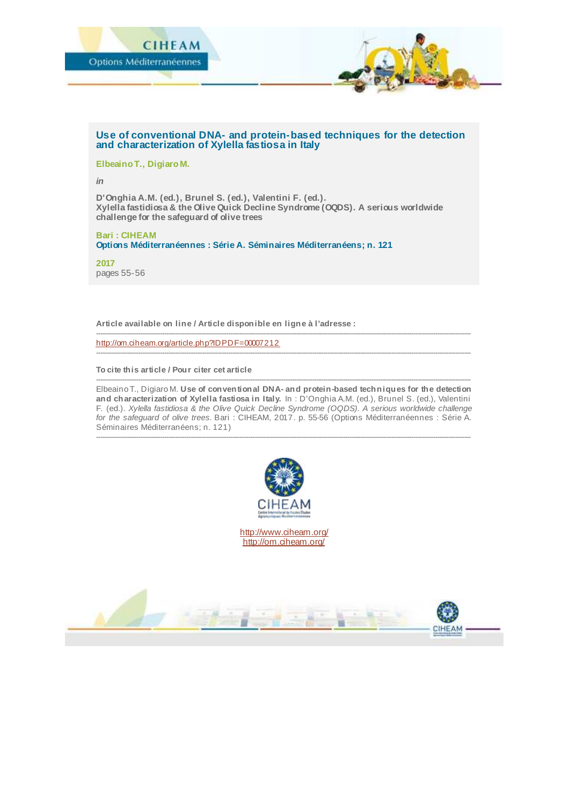

## **Use of conventional DNA- and protein-based techniques for the detection and characterization of Xylella fastiosa in Italy**

**Elbeaino T., Digiaro M.**

*in*

**D'Onghia A.M. (ed.), Brunel S. (ed.), Valentini F. (ed.). Xylella fastidiosa & the Olive Quick Decline Syndrome (OQDS). A serious worldwide challenge for the safeguard of olive trees**

**Bari : CIHEAM Options Méditerranéennes : Série A. Séminaires Méditerranéens; n. 121**

**2017** pages 55-56

**Article available on line / Article disponible en ligne à l'adresse :**

------------------------------------------------------------------------------------------------------------------------------------------------------------------------- <http://om.ciheam.org/article.php?IDPDF=00007212>

**To cite this article / Pour citer cet article**

-------------------------------------------------------------------------------------------------------------------------------------------------------------------------- Elbeaino T., Digiaro M. **Use of conventional DNA- and protein-based techniques for the detection and characterization of Xylella fastiosa in Italy.** In : D'Onghia A.M. (ed.), Brunel S. (ed.), Valentini F. (ed.). *Xylella fastidiosa & the Olive Quick Decline Syndrome (OQDS). A serious worldwide challenge for the safeguard of olive trees.* Bari : CIHEAM, 2017. p. 55-56 (Options Méditerranéennes : Série A. Séminaires Méditerranéens; n. 121)

--------------------------------------------------------------------------------------------------------------------------------------------------------------------------

--------------------------------------------------------------------------------------------------------------------------------------------------------------------------



<http://www.ciheam.org/> <http://om.ciheam.org/>

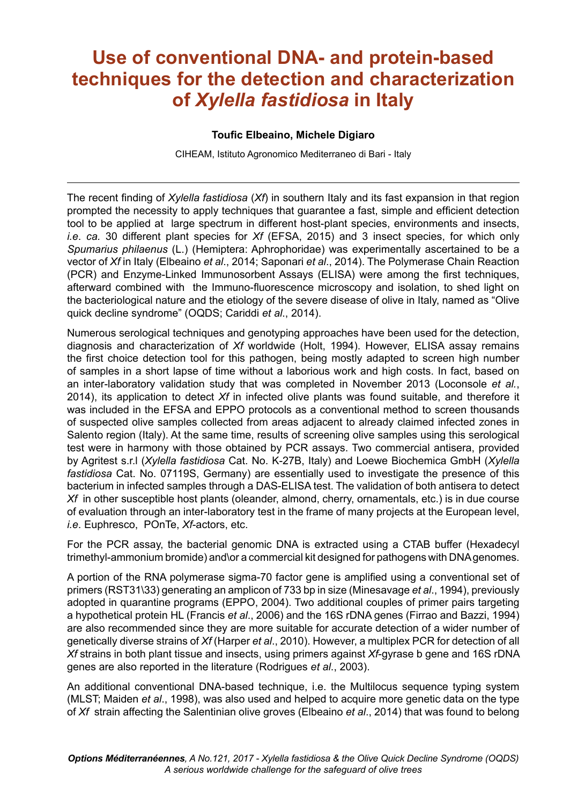## **Use of conventional DNA- and protein-based techniques for the detection and characterization of** *Xylella fastidiosa* **in Italy**

## **Toufic Elbeaino, Michele Digiaro**

CIHEAM, Istituto Agronomico Mediterraneo di Bari - Italy

The recent inding of *Xylella fastidiosa* (*Xf*) in southern Italy and its fast expansion in that region prompted the necessity to apply techniques that guarantee a fast, simple and eficient detection tool to be applied at large spectrum in different host-plant species, environments and insects, *i.e*. *ca.* 30 different plant species for *Xf* (EFSA, 2015) and 3 insect species, for which only *Spumarius philaenus* (L.) (Hemiptera: Aphrophoridae) was experimentally ascertained to be a vector of *Xf* in Italy (Elbeaino *et al*., 2014; Saponari *et al*., 2014). The Polymerase Chain Reaction (PCR) and Enzyme-Linked Immunosorbent Assays (ELISA) were among the irst techniques, afterward combined with the Immuno-fluorescence microscopy and isolation, to shed light on the bacteriological nature and the etiology of the severe disease of olive in Italy, named as "Olive quick decline syndromeî (OQDS; Cariddi *et al*., 2014).

Numerous serological techniques and genotyping approaches have been used for the detection, diagnosis and characterization of *Xf* worldwide (Holt, 1994). However, ELISA assay remains the first choice detection tool for this pathogen, being mostly adapted to screen high number of samples in a short lapse of time without a laborious work and high costs. In fact, based on an inter-laboratory validation study that was completed in November 2013 (Loconsole *et al.*, 2014), its application to detect *Xf* in infected olive plants was found suitable, and therefore it was included in the EFSA and EPPO protocols as a conventional method to screen thousands of suspected olive samples collected from areas adjacent to already claimed infected zones in Salento region (Italy). At the same time, results of screening olive samples using this serological test were in harmony with those obtained by PCR assays. Two commercial antisera, provided by Agritest s.r.l (*Xylella fastidiosa* Cat. No. K-27B, Italy) and Loewe Biochemica GmbH (*Xylella fastidiosa* Cat. No. 07119S, Germany) are essentially used to investigate the presence of this bacterium in infected samples through a DAS-ELISA test. The validation of both antisera to detect *Xf* in other susceptible host plants (oleander, almond, cherry, ornamentals, etc.) is in due course of evaluation through an inter-laboratory test in the frame of many projects at the European level, *i.e*. Euphresco, POnTe, *Xf*-actors, etc.

For the PCR assay, the bacterial genomic DNA is extracted using a CTAB buffer (Hexadecyl trimethyl-ammonium bromide) and\or a commercial kit designed for pathogens with DNA genomes.

A portion of the RNA polymerase sigma-70 factor gene is ampliied using a conventional set of primers (RST31\33) generating an amplicon of 733 bp in size (Minesavage *et al*., 1994), previously adopted in quarantine programs (EPPO, 2004). Two additional couples of primer pairs targeting a hypothetical protein HL (Francis *et al*., 2006) and the 16S rDNA genes (Firrao and Bazzi, 1994) are also recommended since they are more suitable for accurate detection of a wider number of genetically diverse strains of *Xf* (Harper *et al*., 2010). However, a multiplex PCR for detection of all *Xf* strains in both plant tissue and insects, using primers against *Xf*-gyrase b gene and 16S rDNA genes are also reported in the literature (Rodrigues *et al*., 2003).

An additional conventional DNA-based technique, i.e. the Multilocus sequence typing system (MLST; Maiden *et al*., 1998), was also used and helped to acquire more genetic data on the type of *Xf* strain affecting the Salentinian olive groves (Elbeaino *et al*., 2014) that was found to belong